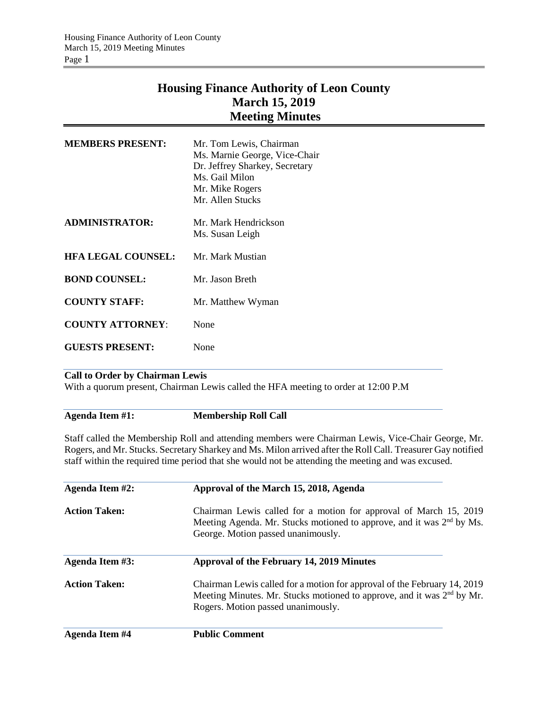## **Housing Finance Authority of Leon County March 15, 2019 Meeting Minutes**

| <b>MEMBERS PRESENT:</b>   | Mr. Tom Lewis, Chairman<br>Ms. Marnie George, Vice-Chair<br>Dr. Jeffrey Sharkey, Secretary<br>Ms. Gail Milon<br>Mr. Mike Rogers<br>Mr. Allen Stucks |
|---------------------------|-----------------------------------------------------------------------------------------------------------------------------------------------------|
| ADMINISTRATOR:            | Mr. Mark Hendrickson<br>Ms. Susan Leigh                                                                                                             |
| <b>HFA LEGAL COUNSEL:</b> | Mr. Mark Mustian                                                                                                                                    |
| <b>BOND COUNSEL:</b>      | Mr. Jason Breth                                                                                                                                     |
| <b>COUNTY STAFF:</b>      | Mr. Matthew Wyman                                                                                                                                   |
| <b>COUNTY ATTORNEY:</b>   | None                                                                                                                                                |
| <b>GUESTS PRESENT:</b>    | None                                                                                                                                                |
|                           |                                                                                                                                                     |

## **Call to Order by Chairman Lewis**

With a quorum present, Chairman Lewis called the HFA meeting to order at 12:00 P.M

**Agenda Item #1: Membership Roll Call**

Staff called the Membership Roll and attending members were Chairman Lewis, Vice-Chair George, Mr. Rogers, and Mr. Stucks. Secretary Sharkey and Ms. Milon arrived after the Roll Call. Treasurer Gay notified staff within the required time period that she would not be attending the meeting and was excused.

| Agenda Item #2:       | Approval of the March 15, 2018, Agenda<br>Chairman Lewis called for a motion for approval of March 15, 2019<br>Meeting Agenda. Mr. Stucks motioned to approve, and it was 2 <sup>nd</sup> by Ms.<br>George. Motion passed unanimously. |  |  |
|-----------------------|----------------------------------------------------------------------------------------------------------------------------------------------------------------------------------------------------------------------------------------|--|--|
| <b>Action Taken:</b>  |                                                                                                                                                                                                                                        |  |  |
| Agenda Item #3:       | Approval of the February 14, 2019 Minutes                                                                                                                                                                                              |  |  |
| <b>Action Taken:</b>  | Chairman Lewis called for a motion for approval of the February 14, 2019<br>Meeting Minutes. Mr. Stucks motioned to approve, and it was 2 <sup>nd</sup> by Mr.<br>Rogers. Motion passed unanimously.                                   |  |  |
| <b>Agenda Item #4</b> | <b>Public Comment</b>                                                                                                                                                                                                                  |  |  |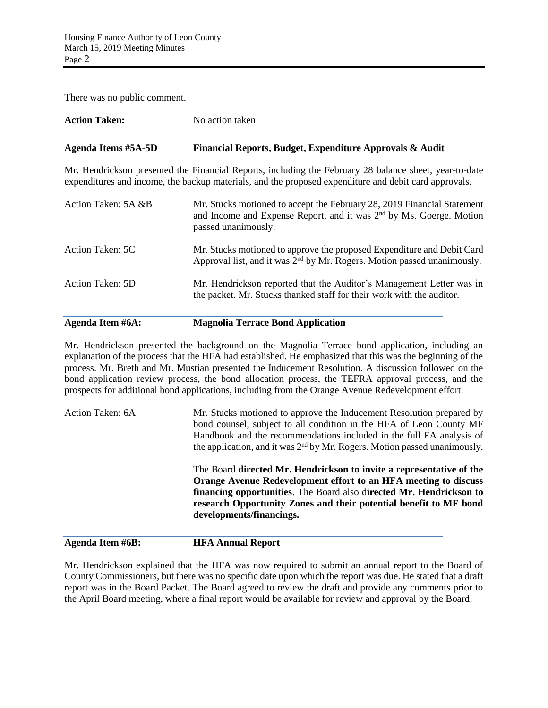There was no public comment.

| <b>Action Taken:</b>       | No action taken                                                                                                                                                                                                 |  |
|----------------------------|-----------------------------------------------------------------------------------------------------------------------------------------------------------------------------------------------------------------|--|
| <b>Agenda Items #5A-5D</b> | Financial Reports, Budget, Expenditure Approvals & Audit                                                                                                                                                        |  |
|                            | Mr. Hendrickson presented the Financial Reports, including the February 28 balance sheet, year-to-date<br>expenditures and income, the backup materials, and the proposed expenditure and debit card approvals. |  |
| Action Taken: 5A &B        | Mr. Stucks motioned to accept the February 28, 2019 Financial Statement<br>and Income and Expense Report, and it was $2nd$ by Ms. Goerge. Motion<br>passed unanimously.                                         |  |
| Action Taken: 5C           | Mr. Stucks motioned to approve the proposed Expenditure and Debit Card<br>Approval list, and it was $2nd$ by Mr. Rogers. Motion passed unanimously.                                                             |  |
| <b>Action Taken: 5D</b>    | Mr. Hendrickson reported that the Auditor's Management Letter was in<br>the packet. Mr. Stucks thanked staff for their work with the auditor.                                                                   |  |

## **Agenda Item #6A: Magnolia Terrace Bond Application**

Mr. Hendrickson presented the background on the Magnolia Terrace bond application, including an explanation of the process that the HFA had established. He emphasized that this was the beginning of the process. Mr. Breth and Mr. Mustian presented the Inducement Resolution. A discussion followed on the bond application review process, the bond allocation process, the TEFRA approval process, and the prospects for additional bond applications, including from the Orange Avenue Redevelopment effort.

| Action Taken: 6A | Mr. Stucks motioned to approve the Inducement Resolution prepared by<br>bond counsel, subject to all condition in the HFA of Leon County MF<br>Handbook and the recommendations included in the full FA analysis of<br>the application, and it was $2nd$ by Mr. Rogers. Motion passed unanimously.              |
|------------------|-----------------------------------------------------------------------------------------------------------------------------------------------------------------------------------------------------------------------------------------------------------------------------------------------------------------|
|                  | The Board directed Mr. Hendrickson to invite a representative of the<br>Orange Avenue Redevelopment effort to an HFA meeting to discuss<br>financing opportunities. The Board also directed Mr. Hendrickson to<br>research Opportunity Zones and their potential benefit to MF bond<br>developments/financings. |

**Agenda Item #6B: HFA Annual Report**

Mr. Hendrickson explained that the HFA was now required to submit an annual report to the Board of County Commissioners, but there was no specific date upon which the report was due. He stated that a draft report was in the Board Packet. The Board agreed to review the draft and provide any comments prior to the April Board meeting, where a final report would be available for review and approval by the Board.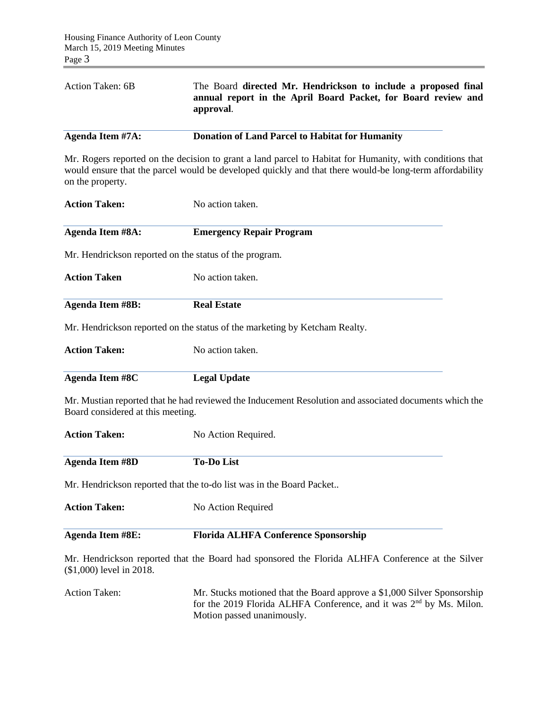| Action Taken: 6B | The Board directed Mr. Hendrickson to include a proposed final<br>annual report in the April Board Packet, for Board review and<br>approval. |
|------------------|----------------------------------------------------------------------------------------------------------------------------------------------|
| Agenda Item #7A: | <b>Donation of Land Parcel to Habitat for Humanity</b>                                                                                       |

Mr. Rogers reported on the decision to grant a land parcel to Habitat for Humanity, with conditions that would ensure that the parcel would be developed quickly and that there would-be long-term affordability on the property.

| <b>Action Taken:</b>                     | No action taken.                                                                                       |  |  |  |
|------------------------------------------|--------------------------------------------------------------------------------------------------------|--|--|--|
| <b>Agenda Item #8A:</b>                  | <b>Emergency Repair Program</b>                                                                        |  |  |  |
|                                          | Mr. Hendrickson reported on the status of the program.                                                 |  |  |  |
| <b>Action Taken</b>                      | No action taken.                                                                                       |  |  |  |
| <b>Agenda Item #8B:</b>                  | <b>Real Estate</b>                                                                                     |  |  |  |
|                                          | Mr. Hendrickson reported on the status of the marketing by Ketcham Realty.                             |  |  |  |
| <b>Action Taken:</b><br>No action taken. |                                                                                                        |  |  |  |
| <b>Agenda Item #8C</b>                   | <b>Legal Update</b>                                                                                    |  |  |  |
| Board considered at this meeting.        | Mr. Mustian reported that he had reviewed the Inducement Resolution and associated documents which the |  |  |  |
| <b>Action Taken:</b>                     | No Action Required.                                                                                    |  |  |  |
| <b>Agenda Item #8D</b>                   | <b>To-Do List</b>                                                                                      |  |  |  |
|                                          | Mr. Hendrickson reported that the to-do list was in the Board Packet                                   |  |  |  |
| <b>Action Taken:</b>                     | No Action Required                                                                                     |  |  |  |
| <b>Agenda Item #8E:</b>                  | <b>Florida ALHFA Conference Sponsorship</b>                                                            |  |  |  |
| (\$1,000) level in 2018.                 | Mr. Hendrickson reported that the Board had sponsored the Florida ALHFA Conference at the Silver       |  |  |  |

Action Taken: Mr. Stucks motioned that the Board approve a \$1,000 Silver Sponsorship for the 2019 Florida ALHFA Conference, and it was 2<sup>nd</sup> by Ms. Milon. Motion passed unanimously.